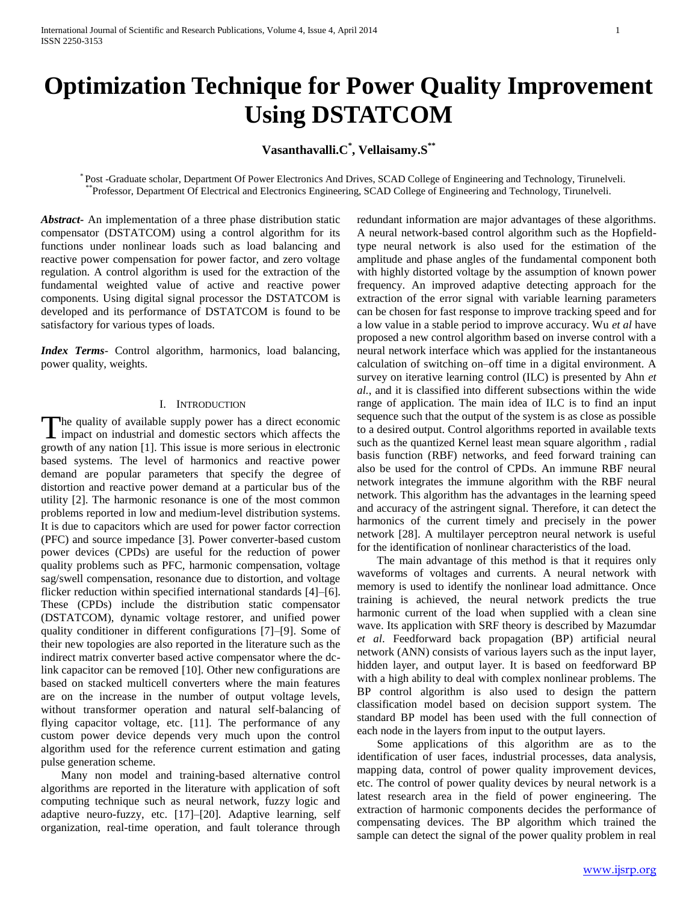# **Optimization Technique for Power Quality Improvement Using DSTATCOM**

# **Vasanthavalli.C\* , Vellaisamy.S\*\***

 \* Post -Graduate scholar, Department Of Power Electronics And Drives, SCAD College of Engineering and Technology, Tirunelveli. \*\*Professor, Department Of Electrical and Electronics Engineering, SCAD College of Engineering and Technology, Tirunelveli.

*Abstract***-** An implementation of a three phase distribution static compensator (DSTATCOM) using a control algorithm for its functions under nonlinear loads such as load balancing and reactive power compensation for power factor, and zero voltage regulation. A control algorithm is used for the extraction of the fundamental weighted value of active and reactive power components. Using digital signal processor the DSTATCOM is developed and its performance of DSTATCOM is found to be satisfactory for various types of loads.

*Index Terms*- Control algorithm, harmonics, load balancing, power quality, weights.

# I. INTRODUCTION

The quality of available supply power has a direct economic The quality of available supply power has a direct economic impact on industrial and domestic sectors which affects the growth of any nation [1]. This issue is more serious in electronic based systems. The level of harmonics and reactive power demand are popular parameters that specify the degree of distortion and reactive power demand at a particular bus of the utility [2]. The harmonic resonance is one of the most common problems reported in low and medium-level distribution systems. It is due to capacitors which are used for power factor correction (PFC) and source impedance [3]. Power converter-based custom power devices (CPDs) are useful for the reduction of power quality problems such as PFC, harmonic compensation, voltage sag/swell compensation, resonance due to distortion, and voltage flicker reduction within specified international standards [4]–[6]. These (CPDs) include the distribution static compensator (DSTATCOM), dynamic voltage restorer, and unified power quality conditioner in different configurations [7]–[9]. Some of their new topologies are also reported in the literature such as the indirect matrix converter based active compensator where the dclink capacitor can be removed [10]. Other new configurations are based on stacked multicell converters where the main features are on the increase in the number of output voltage levels, without transformer operation and natural self-balancing of flying capacitor voltage, etc. [11]. The performance of any custom power device depends very much upon the control algorithm used for the reference current estimation and gating pulse generation scheme.

 Many non model and training-based alternative control algorithms are reported in the literature with application of soft computing technique such as neural network, fuzzy logic and adaptive neuro-fuzzy, etc. [17]–[20]. Adaptive learning, self organization, real-time operation, and fault tolerance through

redundant information are major advantages of these algorithms. A neural network-based control algorithm such as the Hopfieldtype neural network is also used for the estimation of the amplitude and phase angles of the fundamental component both with highly distorted voltage by the assumption of known power frequency. An improved adaptive detecting approach for the extraction of the error signal with variable learning parameters can be chosen for fast response to improve tracking speed and for a low value in a stable period to improve accuracy. Wu *et al* have proposed a new control algorithm based on inverse control with a neural network interface which was applied for the instantaneous calculation of switching on–off time in a digital environment. A survey on iterative learning control (ILC) is presented by Ahn *et al.*, and it is classified into different subsections within the wide range of application. The main idea of ILC is to find an input sequence such that the output of the system is as close as possible to a desired output. Control algorithms reported in available texts such as the quantized Kernel least mean square algorithm , radial basis function (RBF) networks, and feed forward training can also be used for the control of CPDs. An immune RBF neural network integrates the immune algorithm with the RBF neural network. This algorithm has the advantages in the learning speed and accuracy of the astringent signal. Therefore, it can detect the harmonics of the current timely and precisely in the power network [28]. A multilayer perceptron neural network is useful for the identification of nonlinear characteristics of the load.

 The main advantage of this method is that it requires only waveforms of voltages and currents. A neural network with memory is used to identify the nonlinear load admittance. Once training is achieved, the neural network predicts the true harmonic current of the load when supplied with a clean sine wave. Its application with SRF theory is described by Mazumdar *et al*. Feedforward back propagation (BP) artificial neural network (ANN) consists of various layers such as the input layer, hidden layer, and output layer. It is based on feedforward BP with a high ability to deal with complex nonlinear problems. The BP control algorithm is also used to design the pattern classification model based on decision support system. The standard BP model has been used with the full connection of each node in the layers from input to the output layers.

 Some applications of this algorithm are as to the identification of user faces, industrial processes, data analysis, mapping data, control of power quality improvement devices, etc. The control of power quality devices by neural network is a latest research area in the field of power engineering. The extraction of harmonic components decides the performance of compensating devices. The BP algorithm which trained the sample can detect the signal of the power quality problem in real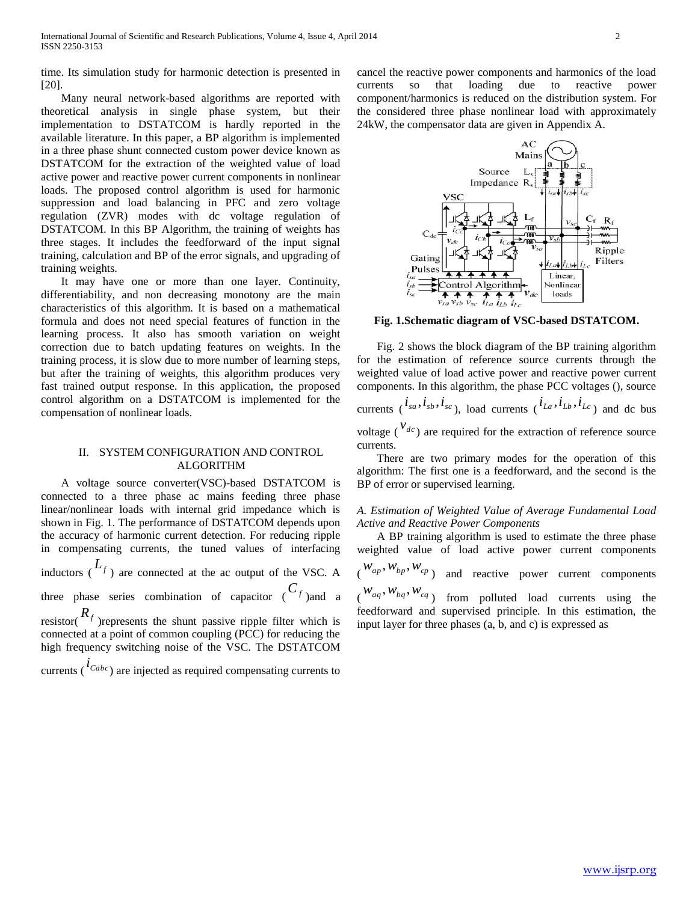time. Its simulation study for harmonic detection is presented in [20].

 Many neural network-based algorithms are reported with theoretical analysis in single phase system, but their implementation to DSTATCOM is hardly reported in the available literature. In this paper, a BP algorithm is implemented in a three phase shunt connected custom power device known as DSTATCOM for the extraction of the weighted value of load active power and reactive power current components in nonlinear loads. The proposed control algorithm is used for harmonic suppression and load balancing in PFC and zero voltage regulation (ZVR) modes with dc voltage regulation of DSTATCOM. In this BP Algorithm, the training of weights has three stages. It includes the feedforward of the input signal training, calculation and BP of the error signals, and upgrading of training weights.

 It may have one or more than one layer. Continuity, differentiability, and non decreasing monotony are the main characteristics of this algorithm. It is based on a mathematical formula and does not need special features of function in the learning process. It also has smooth variation on weight correction due to batch updating features on weights. In the training process, it is slow due to more number of learning steps, but after the training of weights, this algorithm produces very fast trained output response. In this application, the proposed control algorithm on a DSTATCOM is implemented for the compensation of nonlinear loads.

# II. SYSTEM CONFIGURATION AND CONTROL ALGORITHM

 A voltage source converter(VSC)-based DSTATCOM is connected to a three phase ac mains feeding three phase linear/nonlinear loads with internal grid impedance which is shown in Fig. 1. The performance of DSTATCOM depends upon the accuracy of harmonic current detection. For reducing ripple in compensating currents, the tuned values of interfacing inductors  $(L_f)$  are connected at the ac output of the VSC. A three phase series combination of capacitor  $\binom{C_f}{f}$  and a resistor( $R_f$ ) represents the shunt passive ripple filter which is connected at a point of common coupling (PCC) for reducing the high frequency switching noise of the VSC. The DSTATCOM

currents ( $\iota^{t_{Cabc}}$ ) are injected as required compensating currents to

cancel the reactive power components and harmonics of the load currents so that loading due to reactive power component/harmonics is reduced on the distribution system. For the considered three phase nonlinear load with approximately 24kW, the compensator data are given in Appendix A.



**Fig. 1.Schematic diagram of VSC-based DSTATCOM.**

 Fig. 2 shows the block diagram of the BP training algorithm for the estimation of reference source currents through the weighted value of load active power and reactive power current components. In this algorithm, the phase PCC voltages (), source currents  $(i_{sa}, i_{sb}, i_{sc})$ , load currents  $(i_{La}, i_{Lb}, i_{Lc})$  and dc bus voltage  $\left(\begin{array}{c} v_{dc} \\ v_{dc} \end{array}\right)$  are required for the extraction of reference source currents.

 There are two primary modes for the operation of this algorithm: The first one is a feedforward, and the second is the BP of error or supervised learning.

# *A. Estimation of Weighted Value of Average Fundamental Load Active and Reactive Power Components*

 A BP training algorithm is used to estimate the three phase weighted value of load active power current components  $(w_{ap}, w_{bp}, w_{cp})$  and reactive power current components  $(w_{aq}, w_{bq}, w_{cq})$  from polluted load currents using the feedforward and supervised principle. In this estimation, the input layer for three phases (a, b, and c) is expressed as

[www.ijsrp.org](http://ijsrp.org/)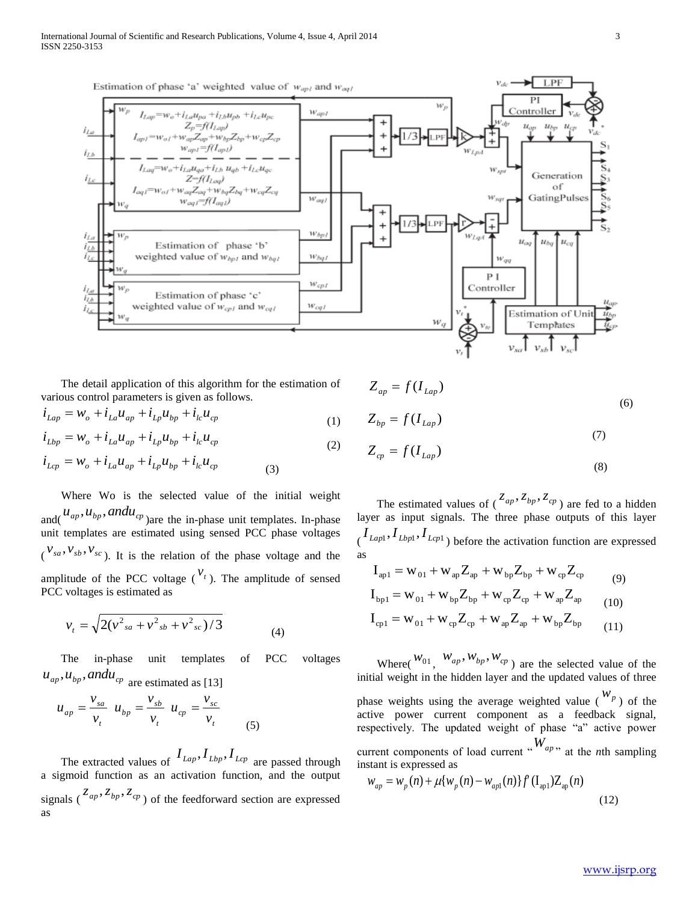

 The detail application of this algorithm for the estimation of various control parameters is given as follows.

$$
i_{Lap} = W_o + i_{La}u_{ap} + i_{Lp}u_{bp} + i_{lc}u_{cp}
$$
\n(1)

$$
i_{Lbp} = W_o + i_{La}u_{ap} + i_{Lp}u_{bp} + i_{lc}u_{cp}
$$
\n(2)

$$
i_{Lcp} = W_o + i_{La}u_{ap} + i_{Lp}u_{bp} + i_{lc}u_{cp}
$$
 (3)

 Where Wo is the selected value of the initial weight and( $u_{ap}$ ,  $u_{bp}$ , and  $u_{cp}$ ) are the in-phase unit templates. In-phase unit templates are estimated using sensed PCC phase voltages  $(v_{sa}, v_{sb}, v_{sc})$ . It is the relation of the phase voltage and the amplitude of the PCC voltage  $\binom{v_t}{r}$ . The amplitude of sensed PCC voltages is estimated as

$$
v_t = \sqrt{2(v_{sa}^2 + v_{sb}^2 + v_{sc}^2)/3}
$$
 (4)

 The in-phase unit templates of PCC voltages  $u_{ap}$ ,  $u_{bp}$ , and  $u_{cp}$  are estimated as [13]

$$
u_{ap} = \frac{v_{sa}}{v_t} \ u_{bp} = \frac{v_{sb}}{v_t} \ u_{cp} = \frac{v_{sc}}{v_t}
$$
 (5)

The extracted values of  $I_{Lap}$ ,  $I_{Lbp}$ ,  $I_{Lcp}$  are passed through a sigmoid function as an activation function, and the output signals  $(\frac{z_{ap}, z_{bp}, z_{cp}}{p})$  of the feedforward section are expressed as

$$
Z_{ap} = f(I_{Lap})
$$
\n
$$
Z_{bp} = f(I_{Lap})
$$
\n
$$
Z_{cp} = f(I_{Lap})
$$
\n(7)\n(8)

The estimated values of  $\left(\frac{z_{ap}, z_{bp}, z_{cp}}{z_{ap}}\right)$  are fed to a hidden layer as input signals. The three phase outputs of this layer  $\left( \frac{I_{Lapl}, I_{Lapl}, I_{Lapl}}{\rho} \right)$  before the activation function are expressed as

$$
I_{ap1} = W_{01} + W_{ap} Z_{ap} + W_{bp} Z_{bp} + W_{cp} Z_{cp}
$$
  
\n
$$
I_{bp1} = W_{01} + W_{bp} Z_{bp} + W_{cp} Z_{cp} + W_{ap} Z_{ap}
$$
 (9)

$$
I_{cp1} = W_{01} + W_{cp}Z_{cp} + W_{ap}Z_{ap} + W_{bp}Z_{bp}
$$
\n(10)\n
$$
I_{cp1} = W_{01} + W_{cp}Z_{cp} + W_{ap}Z_{ap} + W_{bp}Z_{bp}
$$
\n(11)

Where( $W_{01}$ ,  $W_{ap}$ ,  $W_{bp}$ ,  $W_{cp}$ ) are the selected value of the initial weight in the hidden layer and the updated values of three phase weights using the average weighted value  $\binom{W_p}{P}$  of the active power current component as a feedback signal, respectively. The updated weight of phase "a" active power

current components of load current " $W_{ap}$ " at the *n*th sampling instant is expressed as

$$
w_{ap} = w_p(n) + \mu \{ w_p(n) - w_{ap1}(n) \} f'(\mathbf{I}_{ap1}) \mathbf{Z}_{ap}(n)
$$
\n(12)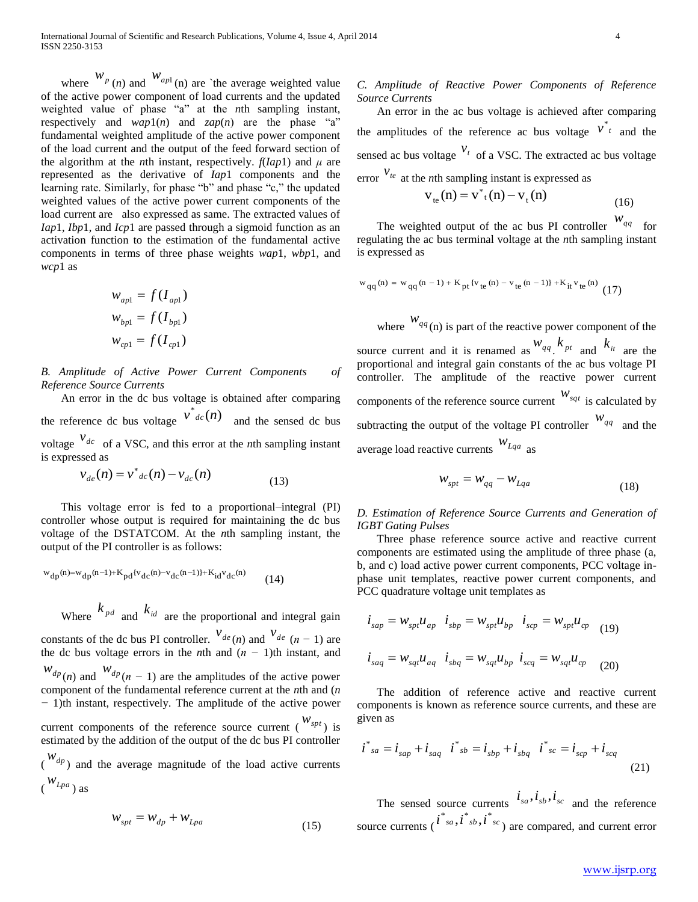where  $W_p(n)$  and  $W_{ap1}(n)$  are `the average weighted value of the active power component of load currents and the updated weighted value of phase "a" at the *n*th sampling instant, respectively and  $wap1(n)$  and  $zap(n)$  are the phase "a" fundamental weighted amplitude of the active power component of the load current and the output of the feed forward section of the algorithm at the *n*th instant, respectively.  $f(Iap1)$  and  $\mu$  are represented as the derivative of *Iap*1 components and the learning rate. Similarly, for phase "b" and phase "c," the updated weighted values of the active power current components of the load current are also expressed as same. The extracted values of *Iap*1, *Ibp*1, and *Icp*1 are passed through a sigmoid function as an activation function to the estimation of the fundamental active components in terms of three phase weights *wap*1, *wbp*1, and *wcp*1 as

$$
w_{ap1} = f(I_{ap1})
$$
  

$$
w_{bp1} = f(I_{bp1})
$$
  

$$
w_{cp1} = f(I_{cp1})
$$

*B. Amplitude of Active Power Current Components of Reference Source Currents*

 An error in the dc bus voltage is obtained after comparing the reference dc bus voltage  $v^*{}_{dc}(n)$  and the sensed dc bus voltage  $v_{dc}$  of a VSC, and this error at the *n*th sampling instant is expressed as

$$
v_{de}(n) = v^*_{dc}(n) - v_{dc}(n)
$$
\n(13)

 This voltage error is fed to a proportional–integral (PI) controller whose output is required for maintaining the dc bus voltage of the DSTATCOM. At the *n*th sampling instant, the output of the PI controller is as follows:

$$
w_{dp}(n) = w_{dp}(n-1) + K_{pd} \{v_{dc}(n) - v_{dc}(n-1)\} + K_{id} v_{dc}(n)
$$
 (14)  
Where  $k_{pd}$  and  $k_{id}$  are the proportional and integral gain

constants of the dc bus PI controller.  $V_{de}(n)$  and  $V_{de}(n-1)$  are the dc bus voltage errors in the *n*th and  $(n - 1)$ th instant, and  $w_{dp}(n)$  and  $w_{dp}(n-1)$  are the amplitudes of the active power component of the fundamental reference current at the *n*th and (*n −* 1)th instant, respectively. The amplitude of the active power current components of the reference source current  $\binom{W_{spl}}{k}$  is

estimated by the addition of the output of the dc bus PI controller  $\left(\begin{array}{c} W_{dp} \end{array}\right)$  and the average magnitude of the load active currents ( *wLpa*

$$
Lpa \text{ is a constant}
$$

$$
W_{spt} = W_{dp} + W_{Lpa} \tag{15}
$$

# *C. Amplitude of Reactive Power Components of Reference Source Currents*

 An error in the ac bus voltage is achieved after comparing the amplitudes of the reference ac bus voltage  $v^{*}$  and the sensed ac bus voltage  $v_t$  of a VSC. The extracted ac bus voltage error  $v_{te}$  at the *n*th sampling instant is expressed as

$$
v_{te}(n) = v_{t}^{*}(n) - v_{t}(n)
$$
\n(16)

The weighted output of the ac bus PI controller  $w_{qq}$  for regulating the ac bus terminal voltage at the *n*th sampling instant is expressed as

$$
w_{qq}(n) = w_{qq}(n-1) + K_{pt} \{v_{te}(n) - v_{te}(n-1)\} + K_{it} v_{te}(n)
$$
 (17)

where  $W_{qq}$ (n) is part of the reactive power component of the source current and it is renamed as  $w_{qq}$ ,  $k_{pt}$  and  $k_{it}$  are the proportional and integral gain constants of the ac bus voltage PI controller. The amplitude of the reactive power current components of the reference source current *wsqt* is calculated by subtracting the output of the voltage PI controller  $W_{qq}$  and the average load reactive currents *wLqa* as

$$
W_{spt} = W_{qq} - W_{Lqa} \tag{18}
$$

*D. Estimation of Reference Source Currents and Generation of IGBT Gating Pulses*

 Three phase reference source active and reactive current components are estimated using the amplitude of three phase (a, b, and c) load active power current components, PCC voltage inphase unit templates, reactive power current components, and PCC quadrature voltage unit templates as

$$
i_{\text{sap}} = W_{\text{sp}t} u_{\text{ap}} \quad i_{\text{sbp}} = W_{\text{sp}t} u_{\text{bp}} \quad i_{\text{scp}} = W_{\text{sp}t} u_{\text{cp}} \quad (19)
$$
\n
$$
i_{\text{sq}q} = W_{\text{sq}t} u_{\text{aq}} \quad i_{\text{sbq}} = W_{\text{sq}t} u_{\text{bp}} \quad i_{\text{scq}} = W_{\text{sq}t} u_{\text{cp}} \quad (20)
$$

 The addition of reference active and reactive current components is known as reference source currents, and these are given as

$$
i^*{}_{sa} = i_{sap} + i_{saq} \quad i^*{}_{sb} = i_{sbp} + i_{sbg} \quad i^*{}_{sc} = i_{scp} + i_{scq}
$$
\n(21)

The sensed source currents  $i_{sa}$ ,  $i_{sb}$ ,  $i_{sc}$  and the reference source currents ( $i^*{}_{sa}$ ,  $i^*{}_{sb}$ ,  $i^*{}_{sc}$ ) are compared, and current error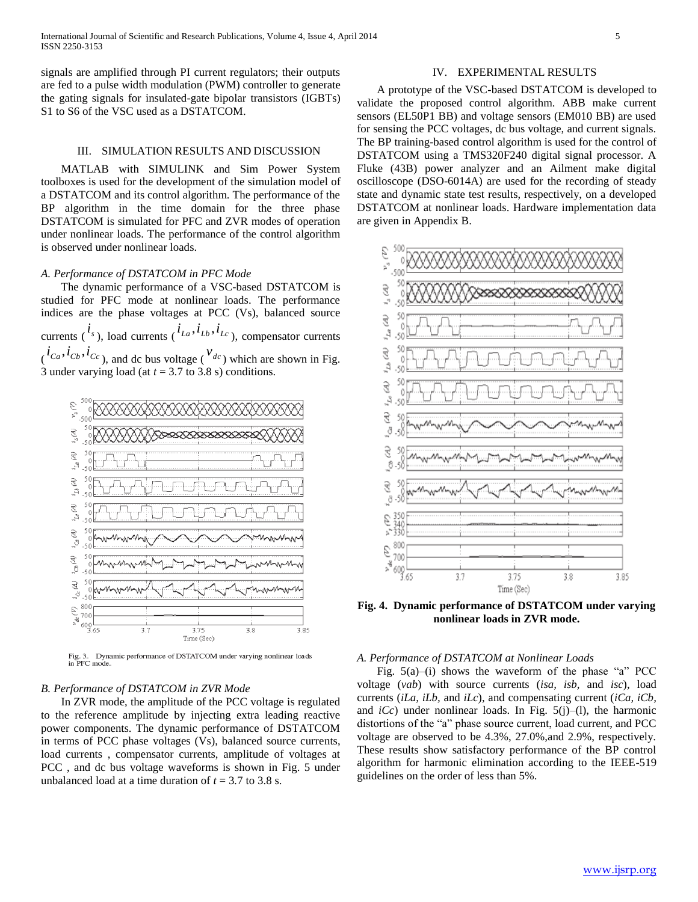signals are amplified through PI current regulators; their outputs are fed to a pulse width modulation (PWM) controller to generate the gating signals for insulated-gate bipolar transistors (IGBTs) S1 to S6 of the VSC used as a DSTATCOM.

#### III. SIMULATION RESULTS AND DISCUSSION

 MATLAB with SIMULINK and Sim Power System toolboxes is used for the development of the simulation model of a DSTATCOM and its control algorithm. The performance of the BP algorithm in the time domain for the three phase DSTATCOM is simulated for PFC and ZVR modes of operation under nonlinear loads. The performance of the control algorithm is observed under nonlinear loads.

#### *A. Performance of DSTATCOM in PFC Mode*

 The dynamic performance of a VSC-based DSTATCOM is studied for PFC mode at nonlinear loads. The performance indices are the phase voltages at PCC (Vs), balanced source currents ( $^{i_s}$ ), load currents ( $^{i_{La}, i_{Lb}, i_{Lc}}$ ), compensator currents  $(i_{Ca}, i_{Cb}, i_{Cc})$ , and dc bus voltage ( $v_{dc}$ ) which are shown in Fig. 3 under varying load (at  $t = 3.7$  to 3.8 s) conditions.



Dynamic performance of DSTATCOM under varying nonlinear loads Fig. 3. Dyn:<br>in PFC mode.

#### *B. Performance of DSTATCOM in ZVR Mode*

 In ZVR mode, the amplitude of the PCC voltage is regulated to the reference amplitude by injecting extra leading reactive power components. The dynamic performance of DSTATCOM in terms of PCC phase voltages (Vs), balanced source currents, load currents , compensator currents, amplitude of voltages at PCC , and dc bus voltage waveforms is shown in Fig. 5 under unbalanced load at a time duration of  $t = 3.7$  to 3.8 s.

#### IV. EXPERIMENTAL RESULTS

 A prototype of the VSC-based DSTATCOM is developed to validate the proposed control algorithm. ABB make current sensors (EL50P1 BB) and voltage sensors (EM010 BB) are used for sensing the PCC voltages, dc bus voltage, and current signals. The BP training-based control algorithm is used for the control of DSTATCOM using a TMS320F240 digital signal processor. A Fluke (43B) power analyzer and an Ailment make digital oscilloscope (DSO-6014A) are used for the recording of steady state and dynamic state test results, respectively, on a developed DSTATCOM at nonlinear loads. Hardware implementation data are given in Appendix B.



**Fig. 4. Dynamic performance of DSTATCOM under varying nonlinear loads in ZVR mode.**

# *A. Performance of DSTATCOM at Nonlinear Loads*

 Fig. 5(a)–(i) shows the waveform of the phase "a" PCC voltage (*vab*) with source currents (*isa, isb,* and *isc*), load currents (*iLa, iLb,* and *iLc*), and compensating current (*iCa, iCb,*  and  $iCc$ ) under nonlinear loads. In Fig.  $5(j)$ –(1), the harmonic distortions of the "a" phase source current, load current, and PCC voltage are observed to be 4.3%, 27.0%,and 2.9%, respectively. These results show satisfactory performance of the BP control algorithm for harmonic elimination according to the IEEE-519 guidelines on the order of less than 5%.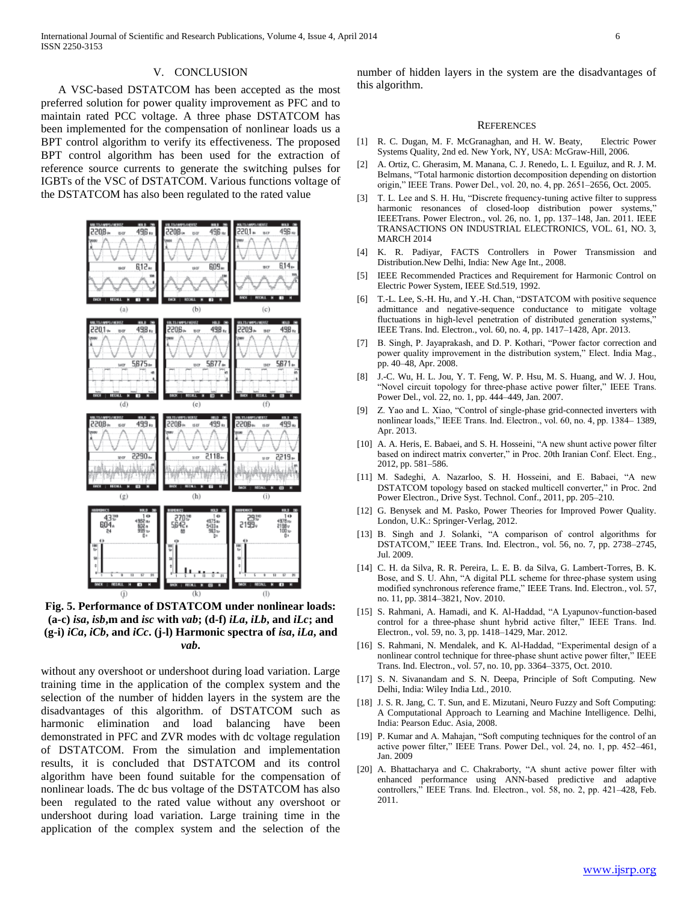#### V. CONCLUSION

 A VSC-based DSTATCOM has been accepted as the most preferred solution for power quality improvement as PFC and to maintain rated PCC voltage. A three phase DSTATCOM has been implemented for the compensation of nonlinear loads us a BPT control algorithm to verify its effectiveness. The proposed BPT control algorithm has been used for the extraction of reference source currents to generate the switching pulses for IGBTs of the VSC of DSTATCOM. Various functions voltage of the DSTATCOM has also been regulated to the rated value



**Fig. 5. Performance of DSTATCOM under nonlinear loads: (a-c)** *isa***,** *isb***,m and** *isc* **with** *vab***; (d-f)** *iLa***,** *iLb***, and** *iLc***; and (g-i)** *iCa***,** *iCb***, and** *iCc***. (j-l) Harmonic spectra of** *isa***,** *iLa***, and**  *vab***.**

without any overshoot or undershoot during load variation. Large training time in the application of the complex system and the selection of the number of hidden layers in the system are the disadvantages of this algorithm. of DSTATCOM such as harmonic elimination and load balancing have been demonstrated in PFC and ZVR modes with dc voltage regulation of DSTATCOM. From the simulation and implementation results, it is concluded that DSTATCOM and its control algorithm have been found suitable for the compensation of nonlinear loads. The dc bus voltage of the DSTATCOM has also been regulated to the rated value without any overshoot or undershoot during load variation. Large training time in the application of the complex system and the selection of the

number of hidden layers in the system are the disadvantages of this algorithm.

#### **REFERENCES**

- [1] R. C. Dugan, M. F. McGranaghan, and H. W. Beaty, Electric Power Systems Quality, 2nd ed. New York, NY, USA: McGraw-Hill, 2006.
- [2] A. Ortiz, C. Gherasim, M. Manana, C. J. Renedo, L. I. Eguiluz, and R. J. M. Belmans, "Total harmonic distortion decomposition depending on distortion origin," IEEE Trans. Power Del., vol. 20, no. 4, pp. 2651–2656, Oct. 2005.
- [3] T. L. Lee and S. H. Hu, "Discrete frequency-tuning active filter to suppress harmonic resonances of closed-loop distribution power systems," IEEETrans. Power Electron., vol. 26, no. 1, pp. 137–148, Jan. 2011. IEEE TRANSACTIONS ON INDUSTRIAL ELECTRONICS, VOL. 61, NO. 3, MARCH 2014
- [4] K. R. Padiyar, FACTS Controllers in Power Transmission and Distribution.New Delhi, India: New Age Int., 2008.
- [5] IEEE Recommended Practices and Requirement for Harmonic Control on Electric Power System, IEEE Std.519, 1992.
- [6] T.-L. Lee, S.-H. Hu, and Y.-H. Chan, "DSTATCOM with positive sequence admittance and negative-sequence conductance to mitigate voltage fluctuations in high-level penetration of distributed generation systems,' IEEE Trans. Ind. Electron., vol. 60, no. 4, pp. 1417–1428, Apr. 2013.
- [7] B. Singh, P. Jayaprakash, and D. P. Kothari, "Power factor correction and power quality improvement in the distribution system," Elect. India Mag., pp. 40–48, Apr. 2008.
- [8] J.-C. Wu, H. L. Jou, Y. T. Feng, W. P. Hsu, M. S. Huang, and W. J. Hou, "Novel circuit topology for three-phase active power filter," IEEE Trans. Power Del., vol. 22, no. 1, pp. 444–449, Jan. 2007.
- [9] Z. Yao and L. Xiao, "Control of single-phase grid-connected inverters with nonlinear loads," IEEE Trans. Ind. Electron., vol. 60, no. 4, pp. 1384– 1389, Apr. 2013.
- [10] A. A. Heris, E. Babaei, and S. H. Hosseini, "A new shunt active power filter based on indirect matrix converter," in Proc. 20th Iranian Conf. Elect. Eng., 2012, pp. 581–586.
- [11] M. Sadeghi, A. Nazarloo, S. H. Hosseini, and E. Babaei, "A new DSTATCOM topology based on stacked multicell converter," in Proc. 2nd Power Electron., Drive Syst. Technol. Conf., 2011, pp. 205–210.
- [12] G. Benysek and M. Pasko, Power Theories for Improved Power Quality. London, U.K.: Springer-Verlag, 2012.
- [13] B. Singh and J. Solanki, "A comparison of control algorithms for DSTATCOM," IEEE Trans. Ind. Electron., vol. 56, no. 7, pp. 2738–2745, Jul. 2009.
- [14] C. H. da Silva, R. R. Pereira, L. E. B. da Silva, G. Lambert-Torres, B. K. Bose, and S. U. Ahn, "A digital PLL scheme for three-phase system using modified synchronous reference frame," IEEE Trans. Ind. Electron., vol. 57, no. 11, pp. 3814–3821, Nov. 2010.
- [15] S. Rahmani, A. Hamadi, and K. Al-Haddad, "A Lyapunov-function-based control for a three-phase shunt hybrid active filter," IEEE Trans. Ind. Electron., vol. 59, no. 3, pp. 1418–1429, Mar. 2012.
- [16] S. Rahmani, N. Mendalek, and K. Al-Haddad, "Experimental design of a nonlinear control technique for three-phase shunt active power filter," IEEE Trans. Ind. Electron., vol. 57, no. 10, pp. 3364–3375, Oct. 2010.
- [17] S. N. Sivanandam and S. N. Deepa, Principle of Soft Computing. New Delhi, India: Wiley India Ltd., 2010.
- [18] J. S. R. Jang, C. T. Sun, and E. Mizutani, Neuro Fuzzy and Soft Computing: A Computational Approach to Learning and Machine Intelligence. Delhi, India: Pearson Educ. Asia, 2008.
- [19] P. Kumar and A. Mahajan, "Soft computing techniques for the control of an active power filter," IEEE Trans. Power Del., vol. 24, no. 1, pp. 452–461, Jan. 2009
- [20] A. Bhattacharya and C. Chakraborty, "A shunt active power filter with enhanced performance using ANN-based predictive and adaptive controllers," IEEE Trans. Ind. Electron., vol. 58, no. 2, pp. 421–428, Feb. 2011.